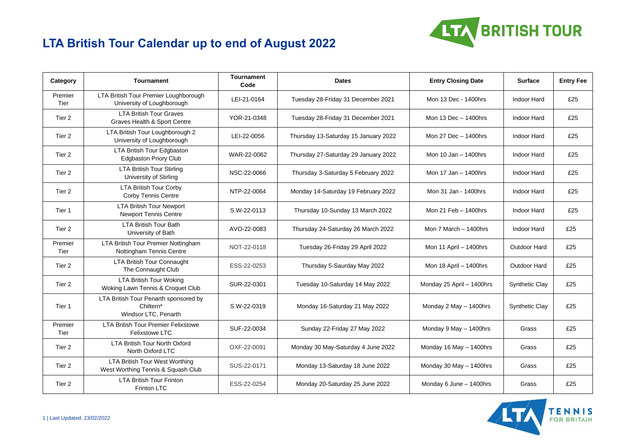

## **LTA British Tour Calendar up to end of August 2022**

| Category        | <b>Tournament</b>                                                          | <b>Tournament</b><br>Code | <b>Dates</b>                         | <b>Entry Closing Date</b> | <b>Surface</b>        | <b>Entry Fee</b> |
|-----------------|----------------------------------------------------------------------------|---------------------------|--------------------------------------|---------------------------|-----------------------|------------------|
| Premier<br>Tier | LTA British Tour Premier Loughborough<br>University of Loughborough        | LEI-21-0164               | Tuesday 28-Friday 31 December 2021   | Mon 13 Dec - 1400hrs      | Indoor Hard           | £25              |
| Tier 2          | <b>LTA British Tour Graves</b><br>Graves Health & Sport Centre             | YOR-21-0348               | Tuesday 28-Friday 31 December 2021   | Mon $13$ Dec $- 1400$ hrs | Indoor Hard           | £25              |
| Tier 2          | LTA British Tour Loughborough 2<br>University of Loughborough              | LEI-22-0056               | Thursday 13-Saturday 15 January 2022 | Mon 27 Dec - 1400hrs      | Indoor Hard           | £25              |
| Tier 2          | LTA British Tour Edgbaston<br><b>Edgbaston Priory Club</b>                 | WAR-22-0062               | Thursday 27-Saturday 29 January 2022 | Mon 10 Jan $-$ 1400hrs    | Indoor Hard           | £25              |
| Tier 2          | <b>LTA British Tour Stirling</b><br>University of Stirling                 | NSC-22-0066               | Thursday 3-Saturday 5 February 2022  | Mon 17 Jan - 1400hrs      | Indoor Hard           | £25              |
| Tier 2          | <b>LTA British Tour Corby</b><br>Corby Tennis Centre                       | NTP-22-0064               | Monday 14-Saturday 19 February 2022  | Mon 31 Jan - 1400hrs      | Indoor Hard           | £25              |
| Tier 1          | <b>LTA British Tour Newport</b><br><b>Newport Tennis Centre</b>            | S.W-22-0113               | Thursday 10-Sunday 13 March 2022     | Mon 21 Feb - 1400hrs      | Indoor Hard           | £25              |
| Tier 2          | <b>LTA British Tour Bath</b><br>University of Bath                         | AVO-22-0083               | Thursday 24-Saturday 26 March 2022   | Mon $7$ March $-$ 1400hrs | Indoor Hard           | £25              |
| Premier<br>Tier | LTA British Tour Premier Nottingham<br>Nottingham Tennis Centre            | NOT-22-0118               | Tuesday 26-Friday 29 April 2022      | Mon 11 April - 1400hrs    | Outdoor Hard          | £25              |
| Tier 2          | LTA British Tour Connaught<br>The Connaught Club                           | ESS-22-0253               | Thursday 5-Saurday May 2022          | Mon 18 April - 1400hrs    | Outdoor Hard          | £25              |
| Tier 2          | <b>LTA British Tour Woking</b><br>Woking Lawn Tennis & Croquet Club        | SUR-22-0301               | Tuesday 10-Saturday 14 May 2022      | Monday 25 April - 1400hrs | Synthetic Clay        | £25              |
| Tier 1          | LTA British Tour Penarth sponsored by<br>Chiltern*<br>Windsor LTC, Penarth | S.W-22-0319               | Monday 16-Saturday 21 May 2022       | Monday 2 May - 1400hrs    | <b>Synthetic Clay</b> | £25              |
| Premier<br>Tier | <b>LTA British Tour Premier Felixstowe</b><br><b>Felixstowe LTC</b>        | SUF-22-0034               | Sunday 22-Friday 27 May 2022         | Monday 9 May - 1400hrs    | Grass                 | £25              |
| Tier 2          | <b>LTA British Tour North Oxford</b><br>North Oxford LTC                   | OXF-22-0091               | Monday 30 May-Saturday 4 June 2022   | Monday 16 May - 1400hrs   | Grass                 | £25              |
| Tier 2          | LTA British Tour West Worthing<br>West Worthing Tennis & Squash Club       | SUS-22-0171               | Monday 13-Saturday 18 June 2022      | Monday 30 May - 1400hrs   | Grass                 | £25              |
| Tier 2          | <b>LTA British Tour Frinton</b><br>Frinton LTC                             | ESS-22-0254               | Monday 20-Saturday 25 June 2022      | Monday 6 June - 1400hrs   | Grass                 | £25              |